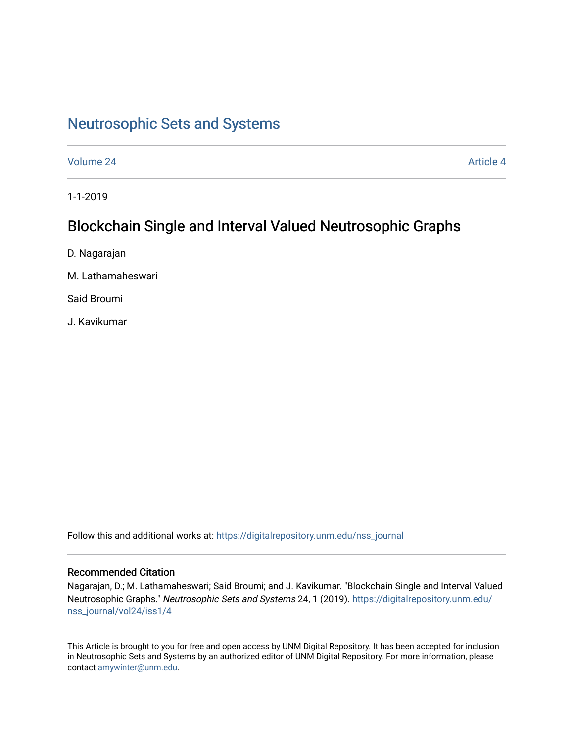# [Neutrosophic Sets and Systems](https://digitalrepository.unm.edu/nss_journal)

[Volume 24](https://digitalrepository.unm.edu/nss_journal/vol24) Article 4

1-1-2019

# Blockchain Single and Interval Valued Neutrosophic Graphs

D. Nagarajan

M. Lathamaheswari

Said Broumi

J. Kavikumar

Follow this and additional works at: [https://digitalrepository.unm.edu/nss\\_journal](https://digitalrepository.unm.edu/nss_journal?utm_source=digitalrepository.unm.edu%2Fnss_journal%2Fvol24%2Fiss1%2F4&utm_medium=PDF&utm_campaign=PDFCoverPages) 

# Recommended Citation

Nagarajan, D.; M. Lathamaheswari; Said Broumi; and J. Kavikumar. "Blockchain Single and Interval Valued Neutrosophic Graphs." Neutrosophic Sets and Systems 24, 1 (2019). [https://digitalrepository.unm.edu/](https://digitalrepository.unm.edu/nss_journal/vol24/iss1/4?utm_source=digitalrepository.unm.edu%2Fnss_journal%2Fvol24%2Fiss1%2F4&utm_medium=PDF&utm_campaign=PDFCoverPages) [nss\\_journal/vol24/iss1/4](https://digitalrepository.unm.edu/nss_journal/vol24/iss1/4?utm_source=digitalrepository.unm.edu%2Fnss_journal%2Fvol24%2Fiss1%2F4&utm_medium=PDF&utm_campaign=PDFCoverPages)

This Article is brought to you for free and open access by UNM Digital Repository. It has been accepted for inclusion in Neutrosophic Sets and Systems by an authorized editor of UNM Digital Repository. For more information, please contact [amywinter@unm.edu](mailto:amywinter@unm.edu).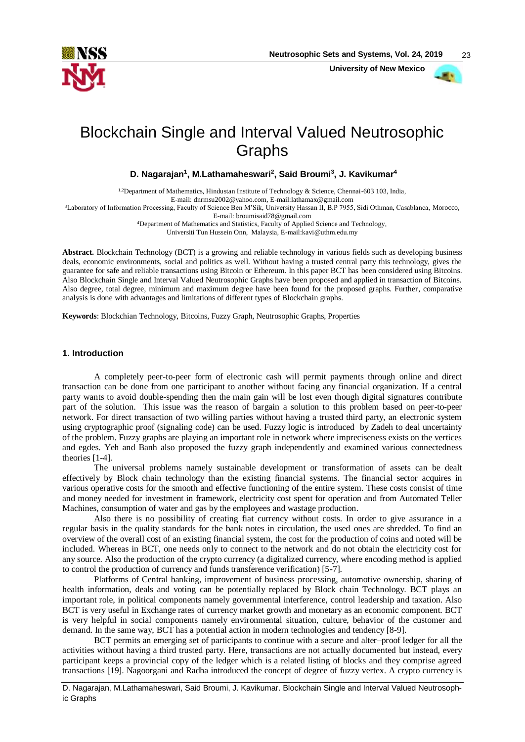

 **University of New Mexico**



23

# Blockchain Single and Interval Valued Neutrosophic Graphs

**D. Nagarajan<sup>1</sup> , M.Lathamaheswari<sup>2</sup> , Said Broumi<sup>3</sup> , J. Kavikumar<sup>4</sup>**

<sup>1,2</sup>Department of Mathematics, Hindustan Institute of Technology & Science, Chennai-603 103, India, E-mail: [dnrmsu2002@yahoo.com,](mailto:dnrmsu2002@yahoo.com) E-mail:lathamax@gmail.com <sup>3</sup>Laboratory of Information Processing, Faculty of Science Ben M'Sik, University Hassan II, B.P 7955, Sidi Othman, Casablanca, Morocco, E-mail: [broumisaid78@gmail.com](mailto:broumisaid78@gmail.com) <sup>4</sup>Department of Mathematics and Statistics, Faculty of Applied Science and Technology, Universiti Tun Hussein Onn, Malaysia, E-mail:kavi@uthm.edu.my

**Abstract.** Blockchain Technology (BCT) is a growing and reliable technology in various fields such as developing business deals, economic environments, social and politics as well. Without having a trusted central party this technology, gives the guarantee for safe and reliable transactions using Bitcoin or Ethereum. In this paper BCT has been considered using Bitcoins. Also Blockchain Single and Interval Valued Neutrosophic Graphs have been proposed and applied in transaction of Bitcoins. Also degree, total degree, minimum and maximum degree have been found for the proposed graphs. Further, comparative analysis is done with advantages and limitations of different types of Blockchain graphs.

**Keywords**: Blockchian Technology, Bitcoins, Fuzzy Graph, Neutrosophic Graphs, Properties

# **1. Introduction**

A completely peer-to-peer form of electronic cash will permit payments through online and direct transaction can be done from one participant to another without facing any financial organization. If a central party wants to avoid double-spending then the main gain will be lost even though digital signatures contribute part of the solution. This issue was the reason of bargain a solution to this problem based on peer-to-peer network. For direct transaction of two willing parties without having a trusted third party, an electronic system using cryptographic proof (signaling code) can be used. Fuzzy logic is introduced by Zadeh to deal uncertainty of the problem. Fuzzy graphs are playing an important role in network where impreciseness exists on the vertices and egdes. Yeh and Banh also proposed the fuzzy graph independently and examined various connectedness theories [1-4].

The universal problems namely sustainable development or transformation of assets can be dealt effectively by Block chain technology than the existing financial systems. The financial sector acquires in various operative costs for the smooth and effective functioning of the entire system. These costs consist of time and money needed for investment in framework, electricity cost spent for operation and from Automated Teller Machines, consumption of water and gas by the employees and wastage production.

Also there is no possibility of creating fiat currency without costs. In order to give assurance in a regular basis in the quality standards for the bank notes in circulation, the used ones are shredded. To find an overview of the overall cost of an existing financial system, the cost for the production of coins and noted will be included. Whereas in BCT, one needs only to connect to the network and do not obtain the electricity cost for any source. Also the production of the crypto currency (a digitalized currency, where encoding method is applied to control the production of currency and funds transference verification) [5-7].

Platforms of Central banking, improvement of business processing, automotive ownership, sharing of health information, deals and voting can be potentially replaced by Block chain Technology. BCT plays an important role, in political components namely governmental interference, control leadership and taxation. Also BCT is very useful in Exchange rates of currency market growth and monetary as an economic component. BCT is very helpful in social components namely environmental situation, culture, behavior of the customer and demand. In the same way, BCT has a potential action in modern technologies and tendency [8-9].

BCT permits an emerging set of participants to continue with a secure and alter–proof ledger for all the activities without having a third trusted party. Here, transactions are not actually documented but instead, every participant keeps a provincial copy of the ledger which is a related listing of blocks and they comprise agreed transactions [19]. Nagoorgani and Radha introduced the concept of degree of fuzzy vertex. A crypto currency is

D. Nagarajan, M.Lathamaheswari, Said Broumi, J. Kavikumar. Blockchain Single and Interval Valued Neutrosophic Graphs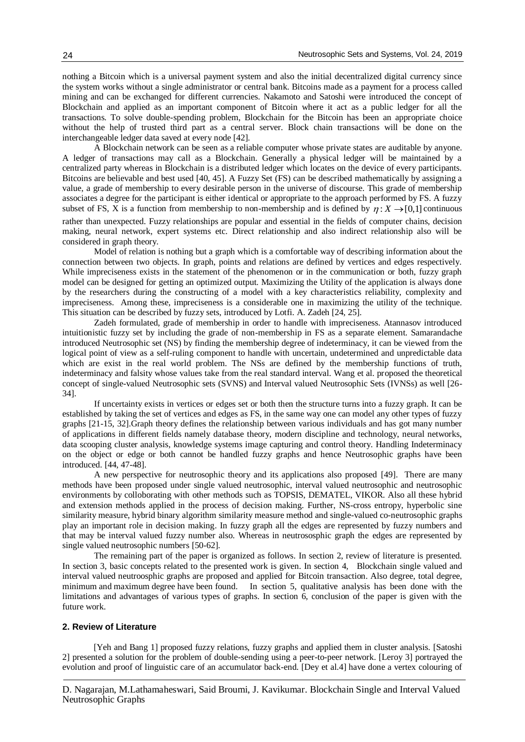nothing a Bitcoin which is a universal payment system and also the initial decentralized digital currency since the system works without a single administrator or central bank. Bitcoins made as a payment for a process called mining and can be exchanged for different currencies. Nakamoto and Satoshi were introduced the concept of Blockchain and applied as an important component of Bitcoin where it act as a public ledger for all the transactions. To solve double-spending problem, Blockchain for the Bitcoin has been an appropriate choice without the help of trusted third part as a central server. Block chain transactions will be done on the interchangeable ledger data saved at every node [42].

A Blockchain network can be seen as a reliable computer whose private states are auditable by anyone. A ledger of transactions may call as a Blockchain. Generally a physical ledger will be maintained by a centralized party whereas in Blockchain is a distributed ledger which locates on the device of every participants. Bitcoins are believable and best used [40, 45]. A Fuzzy Set (FS) can be described mathematically by assigning a value, a grade of membership to every desirable person in the universe of discourse. This grade of membership associates a degree for the participant is either identical or appropriate to the approach performed by FS. A fuzzy subset of FS,  $\tilde{X}$  is a function from membership to non-membership and is defined by  $\eta: X \to [0,1]$  continuous rather than unexpected. Fuzzy relationships are popular and essential in the fields of computer chains, decision making, neural network, expert systems etc. Direct relationship and also indirect relationship also will be considered in graph theory.

Model of relation is nothing but a graph which is a comfortable way of describing information about the connection between two objects. In graph, points and relations are defined by vertices and edges respectively. While impreciseness exists in the statement of the phenomenon or in the communication or both, fuzzy graph model can be designed for getting an optimized output. Maximizing the Utility of the application is always done by the researchers during the constructing of a model with a key characteristics reliability, complexity and impreciseness. Among these, impreciseness is a considerable one in maximizing the utility of the technique. This situation can be described by fuzzy sets, introduced by Lotfi. A. Zadeh [24, 25].

Zadeh formulated, grade of membership in order to handle with impreciseness. Atannasov introduced intuitionistic fuzzy set by including the grade of non-membership in FS as a separate element. Samarandache introduced Neutrosophic set (NS) by finding the membership degree of indeterminacy, it can be viewed from the logical point of view as a self-ruling component to handle with uncertain, undetermined and unpredictable data which are exist in the real world problem. The NSs are defined by the membership functions of truth, indeterminacy and falsity whose values take from the real standard interval. Wang et al. proposed the theoretical concept of single-valued Neutrosophic sets (SVNS) and Interval valued Neutrosophic Sets (IVNSs) as well [26- 34].

If uncertainty exists in vertices or edges set or both then the structure turns into a fuzzy graph. It can be established by taking the set of vertices and edges as FS, in the same way one can model any other types of fuzzy graphs [21-15, 32].Graph theory defines the relationship between various individuals and has got many number of applications in different fields namely database theory, modern discipline and technology, neural networks, data scooping cluster analysis, knowledge systems image capturing and control theory. Handling Indeterminacy on the object or edge or both cannot be handled fuzzy graphs and hence Neutrosophic graphs have been introduced. [44, 47-48].

A new perspective for neutrosophic theory and its applications also proposed [49]. There are many methods have been proposed under single valued neutrosophic, interval valued neutrosophic and neutrosophic environments by colloborating with other methods such as TOPSIS, DEMATEL, VIKOR. Also all these hybrid and extension methods applied in the process of decision making. Further, NS-cross entropy, hyperbolic sine similarity measure, hybrid binary algorithm similarity measure method and single-valued co-neutrosophic graphs play an important role in decision making. In fuzzy graph all the edges are represented by fuzzy numbers and that may be interval valued fuzzy number also. Whereas in neutrososphic graph the edges are represented by single valued neutrosophic numbers [50-62].

The remaining part of the paper is organized as follows. In section 2, review of literature is presented. In section 3, basic concepts related to the presented work is given. In section 4, Blockchain single valued and interval valued neutroosphic graphs are proposed and applied for Bitcoin transaction. Also degree, total degree, minimum and maximum degree have been found. In section 5, qualitative analysis has been done with the limitations and advantages of various types of graphs. In section 6, conclusion of the paper is given with the future work.

#### **2. Review of Literature**

[Yeh and Bang 1] proposed fuzzy relations, fuzzy graphs and applied them in cluster analysis. [Satoshi 2] presented a solution for the problem of double-sending using a peer-to-peer network. [Leroy 3] portrayed the evolution and proof of linguistic care of an accumulator back-end. [Dey et al.4] have done a vertex colouring of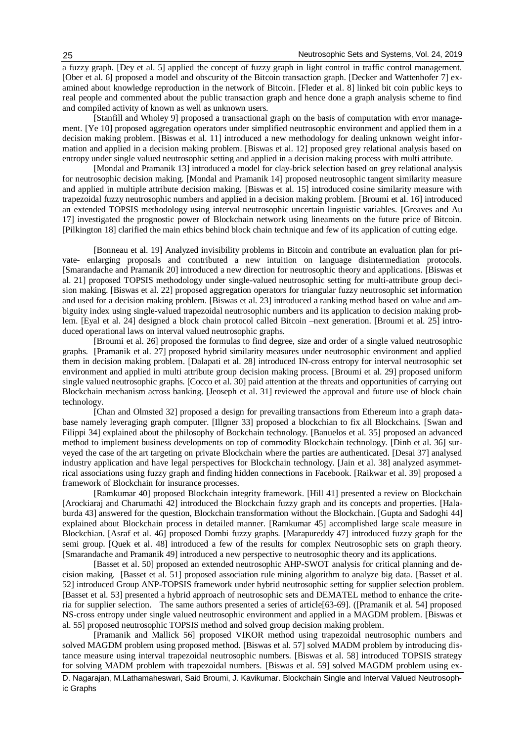a fuzzy graph. [Dey et al. 5] applied the concept of fuzzy graph in light control in traffic control management. [Ober et al. 6] proposed a model and obscurity of the Bitcoin transaction graph. [Decker and Wattenhofer 7] examined about knowledge reproduction in the network of Bitcoin. [Fleder et al. 8] linked bit coin public keys to real people and commented about the public transaction graph and hence done a graph analysis scheme to find and compiled activity of known as well as unknown users.

[Stanfill and Wholey 9] proposed a transactional graph on the basis of computation with error management. [Ye 10] proposed aggregation operators under simplified neutrosophic environment and applied them in a decision making problem. [Biswas et al. 11] introduced a new methodology for dealing unknown weight information and applied in a decision making problem. [Biswas et al. 12] proposed grey relational analysis based on entropy under single valued neutrosophic setting and applied in a decision making process with multi attribute.

[Mondal and Pramanik 13] introduced a model for clay-brick selection based on grey relational analysis for neutrosophic decision making. [Mondal and Pramanik 14] proposed neutrosophic tangent similarity measure and applied in multiple attribute decision making. [Biswas et al. 15] introduced cosine similarity measure with trapezoidal fuzzy neutrosophic numbers and applied in a decision making problem. [Broumi et al. 16] introduced an extended TOPSIS methodology using interval neutrosophic uncertain linguistic variables. [Greaves and Au 17] investigated the prognostic power of Blockchain network using lineaments on the future price of Bitcoin. [Pilkington 18] clarified the main ethics behind block chain technique and few of its application of cutting edge.

[Bonneau et al. 19] Analyzed invisibility problems in Bitcoin and contribute an evaluation plan for private- enlarging proposals and contributed a new intuition on language disintermediation protocols. [Smarandache and Pramanik 20] introduced a new direction for neutrosophic theory and applications. [Biswas et al. 21] proposed TOPSIS methodology under single-valued neutrosophic setting for multi-attribute group decision making. [Biswas et al. 22] proposed aggregation operators for triangular fuzzy neutrosophic set information and used for a decision making problem. [Biswas et al. 23] introduced a ranking method based on value and ambiguity index using single-valued trapezoidal neutrosophic numbers and its application to decision making problem. [Eyal et al. 24] designed a block chain protocol called Bitcoin –next generation. [Broumi et al. 25] introduced operational laws on interval valued neutrosophic graphs.

[Broumi et al. 26] proposed the formulas to find degree, size and order of a single valued neutrosophic graphs. [Pramanik et al. 27] proposed hybrid similarity measures under neutrosophic environment and applied them in decision making problem. [Dalapati et al. 28] introduced IN-cross entropy for interval neutrosophic set environment and applied in multi attribute group decision making process. [Broumi et al. 29] proposed uniform single valued neutrosophic graphs. [Cocco et al. 30] paid attention at the threats and opportunities of carrying out Blockchain mechanism across banking. [Jeoseph et al. 31] reviewed the approval and future use of block chain technology.

[Chan and Olmsted 32] proposed a design for prevailing transactions from Ethereum into a graph database namely leveraging graph computer. [Illgner 33] proposed a blockchian to fix all Blockchains. [Swan and Filippi 34] explained about the philosophy of Bockchain technology. [Banuelos et al. 35] proposed an advanced method to implement business developments on top of commodity Blockchain technology. [Dinh et al. 36] surveyed the case of the art targeting on private Blockchain where the parties are authenticated. [Desai 37] analysed industry application and have legal perspectives for Blockchain technology. [Jain et al. 38] analyzed asymmetrical associations using fuzzy graph and finding hidden connections in Facebook. [Raikwar et al. 39] proposed a framework of Blockchain for insurance processes.

[Ramkumar 40] proposed Blockchain integrity framework. [Hill 41] presented a review on Blockchain [Arockiaraj and Charumathi 42] introduced the Blockchain fuzzy graph and its concepts and properties. [Halaburda 43] answered for the question, Blockchain transformation without the Blockchain. [Gupta and Sadoghi 44] explained about Blockchain process in detailed manner. [Ramkumar 45] accomplished large scale measure in Blockchian. [Asraf et al. 46] proposed Dombi fuzzy graphs. [Marapureddy 47] introduced fuzzy graph for the semi group. [Quek et al. 48] introduced a few of the results for complex Neutrosophic sets on graph theory. [Smarandache and Pramanik 49] introduced a new perspective to neutrosophic theory and its applications.

[Basset et al. 50] proposed an extended neutrosophic AHP-SWOT analysis for critical planning and decision making. [Basset et al. 51] proposed association rule mining algorithm to analyze big data. [Basset et al. 52] introduced Group ANP-TOPSIS framework under hybrid neutrosophic setting for supplier selection problem. [Basset et al. 53] presented a hybrid approach of neutrosophic sets and DEMATEL method to enhance the criteria for supplier selection. The same authors presented a series of article[63-69]. ([Pramanik et al. 54] proposed NS-cross entropy under single valued neutrosophic environment and applied in a MAGDM problem. [Biswas et al. 55] proposed neutrosophic TOPSIS method and solved group decision making problem.

D. Nagarajan, M.Lathamaheswari, Said Broumi, J. Kavikumar. Blockchain Single and Interval Valued Neutrosoph-[Pramanik and Mallick 56] proposed VIKOR method using trapezoidal neutrosophic numbers and solved MAGDM problem using proposed method. [Biswas et al. 57] solved MADM problem by introducing distance measure using interval trapezoidal neutrosophic numbers. [Biswas et al. 58] introduced TOPSIS strategy for solving MADM problem with trapezoidal numbers. [Biswas et al. 59] solved MAGDM problem using ex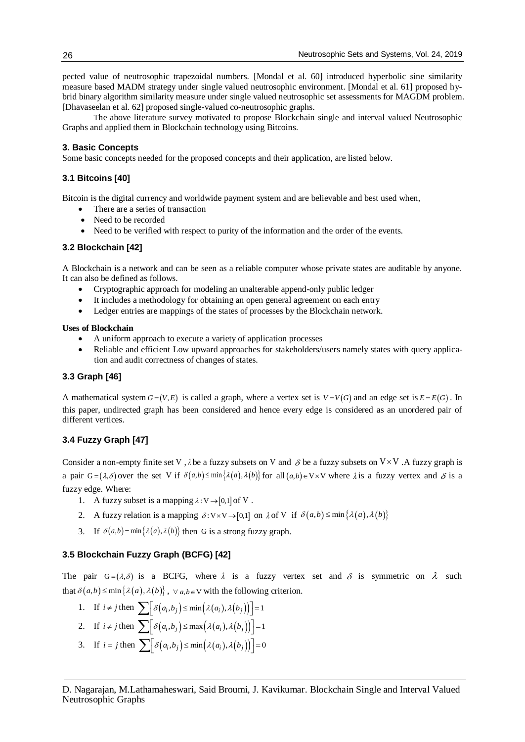pected value of neutrosophic trapezoidal numbers. [Mondal et al. 60] introduced hyperbolic sine similarity measure based MADM strategy under single valued neutrosophic environment. [Mondal et al. 61] proposed hybrid binary algorithm similarity measure under single valued neutrosophic set assessments for MAGDM problem. [Dhavaseelan et al. 62] proposed single-valued co-neutrosophic graphs.

The above literature survey motivated to propose Blockchain single and interval valued Neutrosophic Graphs and applied them in Blockchain technology using Bitcoins.

#### **3. Basic Concepts**

Some basic concepts needed for the proposed concepts and their application, are listed below.

# **3.1 Bitcoins [40]**

Bitcoin is the digital currency and worldwide payment system and are believable and best used when,

- There are a series of transaction
- Need to be recorded
- Need to be verified with respect to purity of the information and the order of the events.

# **3.2 Blockchain [42]**

A Blockchain is a network and can be seen as a reliable computer whose private states are auditable by anyone. It can also be defined as follows.

- Cryptographic approach for modeling an unalterable append-only public ledger
- It includes a methodology for obtaining an open general agreement on each entry
- Ledger entries are mappings of the states of processes by the Blockchain network.

#### **Uses of Blockchain**

- A uniform approach to execute a variety of application processes
- Reliable and efficient Low upward approaches for stakeholders/users namely states with query application and audit correctness of changes of states.

# **3.3 Graph [46]**

A mathematical system  $G = (V, E)$  is called a graph, where a vertex set is  $V = V(G)$  and an edge set is  $E = E(G)$ . In this paper, undirected graph has been considered and hence every edge is considered as an unordered pair of different vertices.

# **3.4 Fuzzy Graph [47]**

Consider a non-empty finite set V,  $\lambda$  be a fuzzy subsets on V and  $\delta$  be a fuzzy subsets on V × V. A fuzzy graph is a pair  $G = (\lambda, \delta)$  over the set V if  $\delta(a,b) \le \min{\{\lambda(a),\lambda(b)\}}$  for all  $(a,b) \in V \times V$  where  $\lambda$  is a fuzzy vertex and  $\delta$  is a fuzzy edge. Where:

- 1. A fuzzy subset is a mapping  $\lambda: V \rightarrow [0,1]$  of V.
- 2. A fuzzy relation is a mapping  $\delta: V \times V \rightarrow [0,1]$  on  $\lambda$  of V if  $\delta(a,b) \le \min{\{\lambda(a),\lambda(b)\}}$
- 3. If  $\delta(a,b) = \min\{\lambda(a),\lambda(b)\}\$  then G is a strong fuzzy graph.

# **3.5 Blockchain Fuzzy Graph (BCFG) [42]**

The pair  $G = (\lambda, \delta)$  is a BCFG, where  $\lambda$  is a fuzzy vertex set and  $\delta$  is symmetric on  $\lambda$  such that  $\delta(a,b) \le \min \{ \lambda(a), \lambda(b) \}, \forall a,b \in V$  with the following criterion.

- 1. If  $i \neq j$  then  $\sum [\delta(a_i, b_j) \leq \min(\lambda(a_i), \lambda(b_j))] = 1$
- 2. If  $i \neq j$  then  $\sum [\delta(a_i, b_j) \leq \max(\lambda(a_i), \lambda(b_j))] = 1$
- 3. If  $i = j$  then  $\sum [\delta(a_i, b_j) \le \min(\lambda(a_i), \lambda(b_j))] = 0$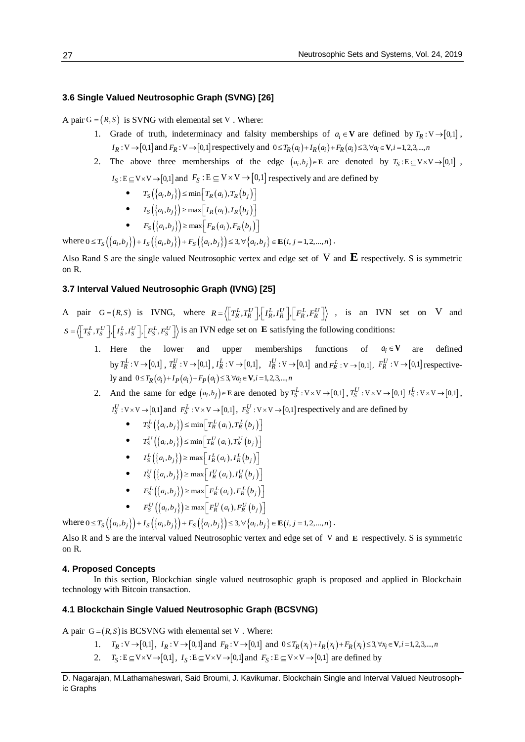#### **3.6 Single Valued Neutrosophic Graph (SVNG) [26]**

A pair  $G = (R, S)$  is SVNG with elemental set V. Where:

- 1. Grade of truth, indeterminacy and falsity memberships of  $a_i \in \mathbf{V}$  are defined by  $T_R : V \rightarrow [0,1]$ ,  $I_R: V \rightarrow [0,1]$  and  $F_R: V \rightarrow [0,1]$  respectively and  $0 \le T_R(a_i) + I_R(a_i) + F_R(a_i) \le 3, \forall a_i \in V, i = 1,2,3,...,n$
- 2. The above three memberships of the edge  $(a_i, b_j) \in \mathbf{E}$  are denoted by  $T_S : E \subseteq V \times V \rightarrow [0,1]$ ,  $I_S: E \subseteq V \times V \rightarrow [0,1]$  and  $F_S: E \subseteq V \times V \rightarrow [0,1]$  respectively and are defined by
	- $T_S({a_i, b_i}) \le \min[T_R(a_i), T_R(b_i)]$
	- $I_S({a_i, b_i}) \ge \max [I_R(a_i), I_R(b_i)]$
	- $F_S(\{a_i, b_i\}) \ge \max[F_R(a_i), F_R(b_i)]$

where  $0 \le T_S({a_i, b_i}) + I_S({a_i, b_i}) + F_S({a_i, b_i}) \le 3, \forall {a_i, b_i} \in \mathbf{E}(i, j = 1, 2, ..., n)$ .

Also Rand S are the single valued Neutrosophic vertex and edge set of V and **E** respectively. S is symmetric on R.

# **3.7 Interval Valued Neutrosophic Graph (IVNG) [25]**

A pair  $G = (R, S)$  is IVNG, where  $R = \left\langle \left[ T_R^L, T_R^U \right], \left[ T_R^L, I_R^U \right], \left[ F_R^L, F_R^U \right] \right\rangle$ , is an IVN set on V and  $S = \left\langle \left[T_S^L, T_S^U\right], \left[I_S^L, I_S^U\right], \left[F_S^L, F_S^U\right] \right\rangle$  is an IVN edge set on **E** satisfying the following conditions:

- 1. Here the lower and upper memberships functions of  $a_i \in V$ are defined by  $T_R^L: V \to [0,1]$ ,  $T_R^U: V \to [0,1]$ ,  $I_R^L: V \to [0,1]$ ,  $I_R^U: V \to [0,1]$  and  $F_R^L: V \to [0,1]$ ,  $F_R^U: V \to [0,1]$  respectively and  $0 \le T_R(a_i) + I_P(a_i) + F_P(a_i) \le 3, \forall a_i \in V, i = 1, 2, 3, ..., n$
- 2. And the same for edge  $(a_i, b_j) \in \mathbf{E}$  are denoted by  $T_S^L : V \times V \rightarrow [0,1]$ ,  $T_S^U : V \times V \rightarrow [0,1]$ ,  $T_S^U : V \times V \rightarrow [0,1]$ ,  $I_S^U$ :  $V \times V \rightarrow [0,1]$  and  $F_S^L$ :  $V \times V \rightarrow [0,1]$ ,  $F_S^U$ :  $V \times V \rightarrow [0,1]$  respectively and are defined by
	- $T_S^L(\lbrace a_i, b_j \rbrace) \le \min \left[ T_R^L(a_i), T_R^L(b_j) \right]$
	- $\bullet$   $T_S^U(\{a_i, b_j\}) \leq \min \left[ T_R^U(a_i), T_R^U(b_j) \right]$
	- $\bullet$   $I_S^L(\{a_i, b_j\}) \ge \max \left[I_R^L(a_i), I_R^L(b_j)\right]$
	- $\bullet$   $I_S^U(\{a_i, b_j\}) \ge \max \bigg[ I_R^U(a_i), I_R^U(b_j) \bigg]$
	- $F_S^L(\lbrace a_i, b_j \rbrace) \ge \max \left[ F_R^L(a_i), F_R^L(b_j) \right]$
	- $F_S^U(\lbrace a_i, b_j \rbrace) \ge \max \left[ F_R^U(a_i), F_R^U(b_j) \right]$

where  $0 \le T_S({a_i, b_j}\)+I_S({a_i, b_j}\)+F_S({a_i, b_j}\)=3, \forall {a_i, b_j}\in \mathbf{E}(i, j=1, 2, ..., n)$ .

Also R and S are the interval valued Neutrosophic vertex and edge set of V and **E** respectively. S is symmetric on R.

#### **4. Proposed Concepts**

In this section, Blockchian single valued neutrosophic graph is proposed and applied in Blockchain technology with Bitcoin transaction.

# **4.1 Blockchain Single Valued Neutrosophic Graph (BCSVNG)**

A pair  $G = (R, S)$  is BCSVNG with elemental set V. Where:

- 1.  $T_R: V \to [0,1], I_R: V \to [0,1]$  and  $F_R: V \to [0,1]$  and  $0 \le T_R(x_i) + I_R(x_i) + F_R(x_i) \le 3, \forall x_i \in V, i = 1,2,3,...,n$
- 2.  $T_S: E \subseteq V \times V \rightarrow [0,1], I_S: E \subseteq V \times V \rightarrow [0,1]$  and  $F_S: E \subseteq V \times V \rightarrow [0,1]$  are defined by

D. Nagarajan, M.Lathamaheswari, Said Broumi, J. Kavikumar. Blockchain Single and Interval Valued Neutrosophic Graphs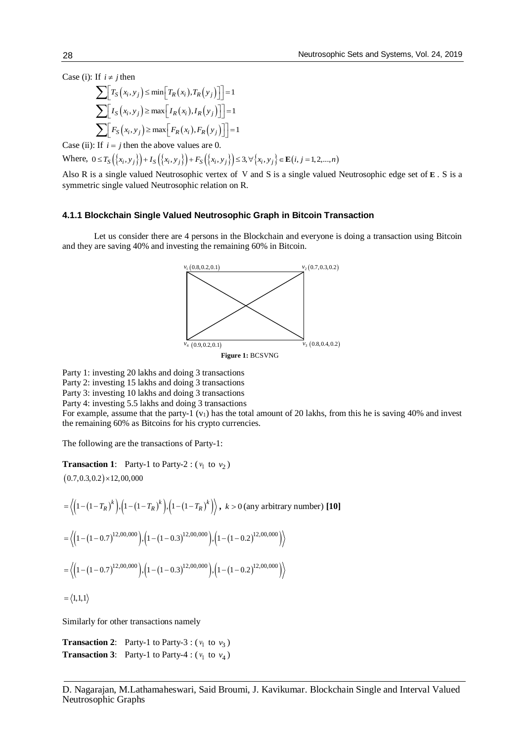Case (i): If  $i \neq j$  then

$$
\sum \left[ T_S(x_i, y_j) \le \min \left[ T_R(x_i), T_R(y_j) \right] \right] = 1
$$
  

$$
\sum \left[ I_S(x_i, y_j) \ge \max \left[ I_R(x_i), I_R(y_j) \right] \right] = 1
$$
  

$$
\sum \left[ F_S(x_i, y_j) \ge \max \left[ F_R(x_i), F_R(y_j) \right] \right] = 1
$$

Case (ii): If  $i = j$  then the above values are 0.

Where,  $0 \le T_S({x_i, y_i}) + I_S({x_i, y_i}) + F_S({x_i, y_i}) \le 3, \forall {x_i, y_i} \in E(i, j = 1, 2, ..., n)$ 

Also R is a single valued Neutrosophic vertex of V and S is a single valued Neutrosophic edge set of **E** . S is a symmetric single valued Neutrosophic relation on R.

#### **4.1.1 Blockchain Single Valued Neutrosophic Graph in Bitcoin Transaction**

Let us consider there are 4 persons in the Blockchain and everyone is doing a transaction using Bitcoin and they are saving 40% and investing the remaining 60% in Bitcoin.



Party 1: investing 20 lakhs and doing 3 transactions Party 2: investing 15 lakhs and doing 3 transactions Party 3: investing 10 lakhs and doing 3 transactions Party 4: investing 5.5 lakhs and doing 3 transactions For example, assume that the party-1  $(v_1)$  has the total amount of 20 lakhs, from this he is saving 40% and invest the remaining 60% as Bitcoins for his crypto currencies.

The following are the transactions of Party-1:

**Transaction 1**: Party-1 to Party-2 :  $(v_1 \text{ to } v_2)$ 

 $(0.7, 0.3, 0.2) \times 12,00,000$ 

$$
= \langle \left(1 - (1 - T_R)^k\right), \left(1 - (1 - T_R)^k\right), \left(1 - (1 - T_R)^k\right) \rangle, \ k > 0 \text{ (any arbitrary number)} \text{ [10]}
$$
\n
$$
= \langle \left(1 - (1 - 0.7)^{12,00,000}\right), \left(1 - (1 - 0.3)^{12,00,000}\right), \left(1 - (1 - 0.2)^{12,00,000}\right) \rangle
$$
\n
$$
= \langle \left(1 - (1 - 0.7)^{12,00,000}\right), \left(1 - (1 - 0.3)^{12,00,000}\right), \left(1 - (1 - 0.2)^{12,00,000}\right) \rangle
$$
\n
$$
= \langle 1,1,1 \rangle
$$

Similarly for other transactions namely

**Transaction 2:** Party-1 to Party-3 :  $(v_1 \text{ to } v_3)$ **Transaction 3:** Party-1 to Party-4 :  $(v_1 \text{ to } v_4)$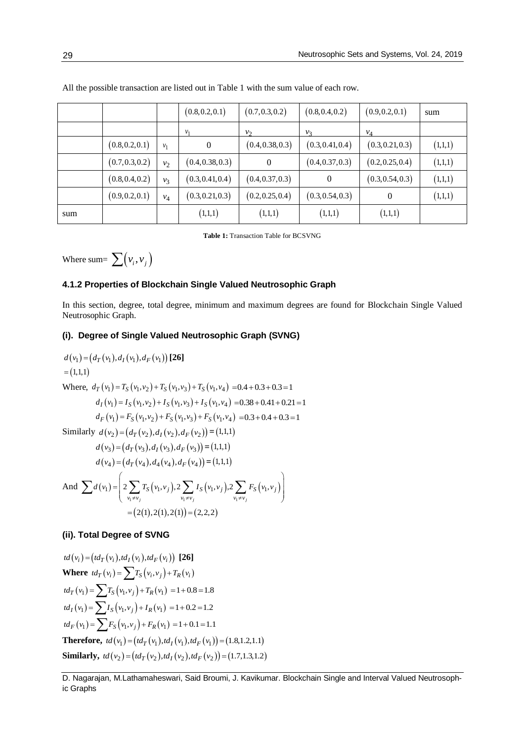|     |                 |                | (0.8, 0.2, 0.1)  | (0.7, 0.3, 0.2)  | (0.8, 0.4, 0.2)  | (0.9, 0.2, 0.1)  | sum     |
|-----|-----------------|----------------|------------------|------------------|------------------|------------------|---------|
|     |                 |                | v <sub>1</sub>   | v <sub>2</sub>   | v <sub>3</sub>   | $v_4$            |         |
|     | (0.8, 0.2, 0.1) | $v_1$          | 0                | (0.4, 0.38, 0.3) | (0.3, 0.41, 0.4) | (0.3, 0.21, 0.3) | (1,1,1) |
|     | (0.7, 0.3, 0.2) | $v_2$          | (0.4, 0.38, 0.3) | $\theta$         | (0.4, 0.37, 0.3) | (0.2, 0.25, 0.4) | (1,1,1) |
|     | (0.8, 0.4, 0.2) | v <sub>3</sub> | (0.3, 0.41, 0.4) | (0.4, 0.37, 0.3) | $\overline{0}$   | (0.3, 0.54, 0.3) | (1,1,1) |
|     | (0.9, 0.2, 0.1) | $v_4$          | (0.3, 0.21, 0.3) | (0.2, 0.25, 0.4) | (0.3, 0.54, 0.3) | $\Omega$         | (1,1,1) |
| sum |                 |                | (1,1,1)          | (1,1,1)          | (1,1,1)          | (1,1,1)          |         |

All the possible transaction are listed out in Table 1 with the sum value of each row.

**Table 1:** Transaction Table for BCSVNG

Where sum=  $\sum (v_i, v_j)$ 

# **4.1.2 Properties of Blockchain Single Valued Neutrosophic Graph**

In this section, degree, total degree, minimum and maximum degrees are found for Blockchain Single Valued Neutrosophic Graph.

# **(i). Degree of Single Valued Neutrosophic Graph (SVNG)**

 $d(v_1) = (d_T(v_1), d_T(v_1), d_F(v_1))$  [26]  $=(1,1,1)$ Where,  $d_T(v_1) = T_S(v_1, v_2) + T_S(v_1, v_3) + T_S(v_1, v_4) = 0.4 + 0.3 + 0.3 = 1$  $d_I(v_1) = I_S(v_1, v_2) + I_S(v_1, v_3) + I_S(v_1, v_4) = 0.38 + 0.41 + 0.21 = 1$  $d_F(v_1) = F_S(v_1, v_2) + F_S(v_1, v_3) + F_S(v_1, v_4) = 0.3 + 0.4 + 0.3 = 1$ Similarly  $d(v_2) = (d_T(v_2), d_T(v_2), d_F(v_2)) = (1,1,1)$  $d(v_3) = (d_T(v_3), d_T(v_3), d_F(v_3)) = (1, 1, 1)$  $d(v_4) = (d_T(v_4), d_4(v_4), d_F(v_4)) = (1, 1, 1)$ And  $\sum d(v_1) = | 2 \sum T_S(v_1, v_1), 2 \sum I_S(v_1, v_1), 2 \sum F_S(v_1, v_1)$  $y_1 \neq v_j$   $y_1 \neq v_j$   $y_1$  $I_1$ ) =  $\Big| 2 \sum T_S(v_1, v_j), 2 \sum I_S(v_1, v_j), 2 \sum F_S(v_1, v_j) \Big|$ *j*  $V_1 + V_j$   $V_1 + V_j$  $S(V_1,V_j), \angle \angle I_S(V_1,V_j), \angle \angle I_S(V_1,V_j)$  $v_1 \neq v_i$   $v_1 \neq v_i$   $v_1 \neq v$  $d(v_1) = | 2 \sum T_S(v_1, v_i), 2 \sum I_S(v_1, v_i), 2 \sum F_S(v_1, v_2)$  $\neq v_i$   $v_1 \neq v_i$   $v_1 \neq v_i$  $=\left(2\sum T_{S}(v_{1},v_{i}),2\sum I_{S}(v_{1},v_{i}),2\sum F_{S}(v_{1},v_{i})\right)$  $v_1 \neq v_j$   $v_1 \neq v_j$   $v_1 \neq v_j$   $v_1 \neq v_j$  $\sum d(v_1) = 2 \sum T_S(v_1, v_j), 2 \sum I_S(v_1, v_j), 2 \sum i$  $= (2(1), 2(1), 2(1)) = (2, 2, 2)$ 

# **(ii). Total Degree of SVNG**

$$
td(v_i) = (td_T(v_i),td_I(v_i),td_F(v_i))
$$
 [26]  
Where  $td_T(v_i) = \sum T_S(v_i,v_j) + T_R(v_i)$   
 $td_T(v_1) = \sum T_S(v_1,v_j) + T_R(v_1) = 1 + 0.8 = 1.8$   
 $td_I(v_1) = \sum I_S(v_1,v_j) + I_R(v_1) = 1 + 0.2 = 1.2$   
 $td_F(v_1) = \sum F_S(v_1,v_j) + F_R(v_1) = 1 + 0.1 = 1.1$   
Therefore,  $td(v_1) = (td_T(v_1),td_I(v_1),td_F(v_1)) = (1.8,1.2,1.1)$   
Similarly,  $td(v_2) = (td_T(v_2),td_I(v_2),td_F(v_2)) = (1.7,1.3,1.2)$ 

D. Nagarajan, M.Lathamaheswari, Said Broumi, J. Kavikumar. Blockchain Single and Interval Valued Neutrosophic Graphs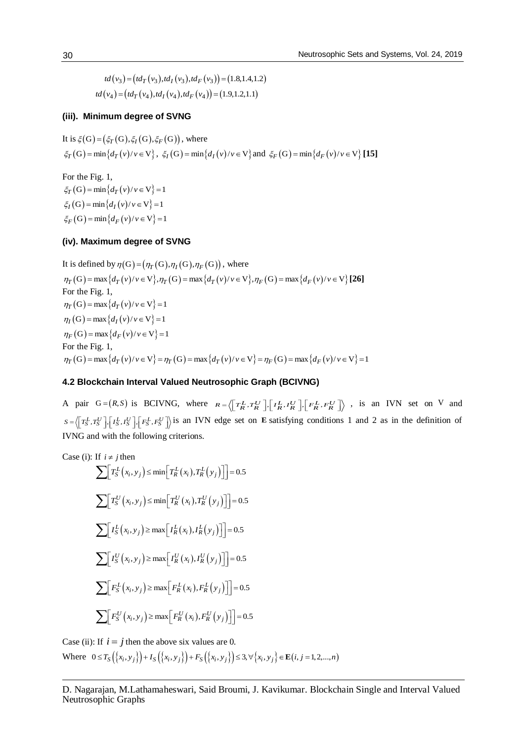$$
td(v_3) = (td_T(v_3),td_I(v_3),td_F(v_3)) = (1.8,1.4,1.2)
$$
  

$$
td(v_4) = (td_T(v_4),td_I(v_4),td_F(v_4)) = (1.9,1.2,1.1)
$$

# **(iii). Minimum degree of SVNG**

It is  $\xi(G) = (\xi_T(G), \xi_I(G), \xi_F(G))$ , where  $\xi_T(G) = \min\{d_T(v)/v \in V\},\ \xi_I(G) = \min\{d_I(v)/v \in V\}$  and  $\xi_F(G) = \min\{d_F(v)/v \in V\}$  [15]

For the Fig. 1,  $\xi_T$  (G) = min $\{d_T(v)/v \in V\}$  = 1  $\xi_I(G) = \min\{d_I(v)/v \in V\} = 1$  $\xi_F(G) = \min\{d_F(v)/v \in V\} = 1$ 

# **(iv). Maximum degree of SVNG**

It is defined by  $\eta(G) = (\eta_T(G), \eta_T(G), \eta_F(G))$ , where  $\eta_T(G) = \max\{d_T(v)/v \in V\}, \eta_T(G) = \max\{d_T(v)/v \in V\}, \eta_F(G) = \max\{d_F(v)/v \in V\}$  [26] For the Fig. 1,  $\eta_T(G) = \max\{d_T(v)/v \in V\} = 1$  $\eta_I(G) = \max\{d_I(v)/v \in V\} = 1$  $\eta_F(G) = \max\{d_F(v)/v \in V\} = 1$ For the Fig. 1,  $\eta_T(G) = \max\{d_T(v)/v \in V\} = \eta_T(G) = \max\{d_T(v)/v \in V\} = \eta_F(G) = \max\{d_F(v)/v \in V\} = 1$ 

# **4.2 Blockchain Interval Valued Neutrosophic Graph (BCIVNG)**

A pair  $G = (R, S)$  is BCIVNG, where  $R = \left\langle \left[ T_R^L, T_R^U \right], \left[ T_R^L, I_R^U \right], \left[ F_R^L, F_R^U \right] \right\rangle$ , is an IVN set on V and  $S = \left\langle \left[T_S^L, T_S^U\right], \left[T_S^L, I_S^U\right], \left[F_S^L, F_S^U\right] \right\rangle$  is an IVN edge set on **E** satisfying conditions 1 and 2 as in the definition of IVNG and with the following criterions.

Case (i): If 
$$
i \neq j
$$
 then  
\n
$$
\sum \left[ T_S^L(x_i, y_j) \leq \min \left[ T_R^L(x_i), T_R^L(y_j) \right] \right] = 0.5
$$
\n
$$
\sum \left[ T_S^U(x_i, y_j) \leq \min \left[ T_R^U(x_i), T_R^U(y_j) \right] \right] = 0.5
$$
\n
$$
\sum \left[ I_S^L(x_i, y_j) \geq \max \left[ I_R^L(x_i), I_R^L(y_j) \right] \right] = 0.5
$$
\n
$$
\sum \left[ I_S^U(x_i, y_j) \geq \max \left[ I_R^U(x_i), I_R^U(y_j) \right] \right] = 0.5
$$
\n
$$
\sum \left[ F_S^L(x_i, y_j) \geq \max \left[ F_R^L(x_i), F_R^L(y_j) \right] \right] = 0.5
$$
\n
$$
\sum \left[ F_S^U(x_i, y_j) \geq \max \left[ F_R^U(x_i), F_R^U(y_j) \right] \right] = 0.5
$$

Case (ii): If  $i = j$  then the above six values are 0. Where  $0 \le T_S({x_i, y_i}) + I_S({x_i, y_i}) + F_S({x_i, y_i}) \le 3, \forall {x_i, y_i} \in E(i, j = 1, 2, ..., n)$ 

D. Nagarajan, M.Lathamaheswari, Said Broumi, J. Kavikumar. Blockchain Single and Interval Valued Neutrosophic Graphs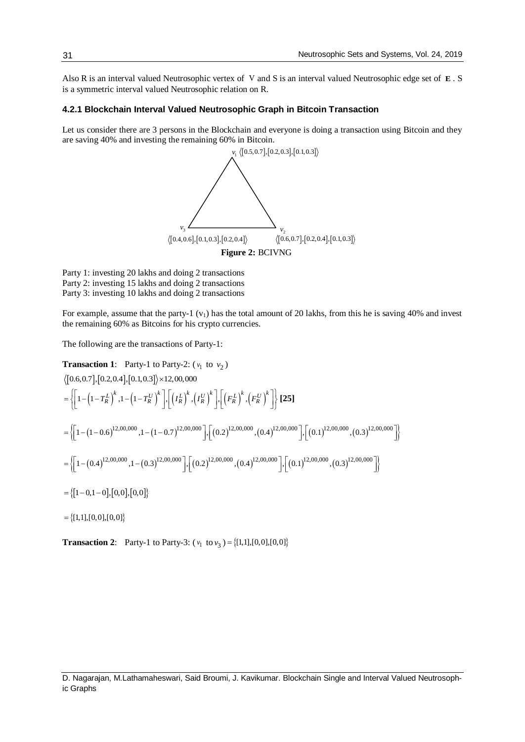Also R is an interval valued Neutrosophic vertex of V and S is an interval valued Neutrosophic edge set of **E** . S is a symmetric interval valued Neutrosophic relation on R.

#### **4.2.1 Blockchain Interval Valued Neutrosophic Graph in Bitcoin Transaction**

Let us consider there are 3 persons in the Blockchain and everyone is doing a transaction using Bitcoin and they are saving 40% and investing the remaining 60% in Bitcoin. chain and everyone is doing a tran<br>6 in Bitcoin.<br> $v_1$   $\langle [0.5, 0.7], [0.2, 0.3], [0.1, 0.3] \rangle$ 



Party 1: investing 20 lakhs and doing 2 transactions Party 2: investing 15 lakhs and doing 2 transactions Party 3: investing 10 lakhs and doing 2 transactions

For example, assume that the party-1  $(v_1)$  has the total amount of 20 lakhs, from this he is saving 40% and invest the remaining 60% as Bitcoins for his crypto currencies.

The following are the transactions of Party-1:

**Transaction 1:** Party-1 to Party-2: 
$$
(v_1 \text{ to } v_2)
$$
  
\n
$$
\langle [0.6, 0.7], [0.2, 0.4], [0.1, 0.3] \rangle \times 12, 00, 000
$$
\n
$$
= \left\{ \left[ 1 - \left( 1 - T_R^L \right)^k, 1 - \left( 1 - T_R^U \right)^k \right], \left[ \left( T_R^L \right)^k, \left( T_R^U \right)^k \right], \left[ \left( F_R^L \right)^k, \left( F_R^U \right)^k \right] \right\} \text{ [25]}
$$
\n
$$
= \left\{ \left[ 1 - (1 - 0.6)^{12,00,000}, 1 - (1 - 0.7)^{12,00,000} \right], \left[ (0.2)^{12,00,000}, (0.4)^{12,00,000} \right], \left[ (0.1)^{12,00,000}, (0.3)^{12,00,000} \right] \right\}
$$
\n
$$
= \left\{ \left[ 1 - (0.4)^{12,00,000}, 1 - (0.3)^{12,00,000} \right], \left[ (0.2)^{12,00,000}, (0.4)^{12,00,000} \right], \left[ (0.1)^{12,00,000}, (0.3)^{12,00,000} \right] \right\}
$$
\n
$$
= \left\{ [1 - 0, 1 - 0], [0, 0], [0, 0] \right\}
$$
\n
$$
= \left\{ [1, 1], [0, 0], [0, 0] \right\}
$$

**Transaction 2:** Party-1 to Party-3:  $(v_1 \text{ to } v_3) = \{(1,1], [0,0], [0,0]\}$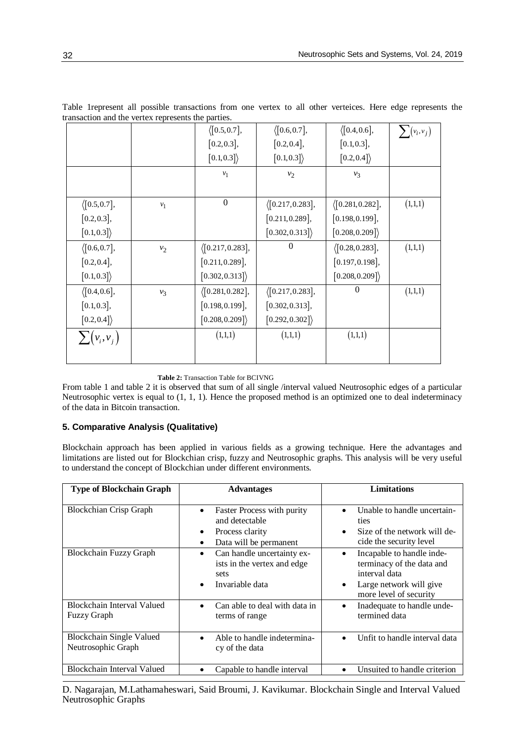|                       |       | $\langle [0.5, 0.7],$    | $\langle [0.6, 0.7],$     | $\langle [0.4, 0.6],$    | $\sum (v_i, v_j)$ |
|-----------------------|-------|--------------------------|---------------------------|--------------------------|-------------------|
|                       |       | $[0.2, 0.3]$ ,           | [0.2, 0.4],               | [0.1, 0.3],              |                   |
|                       |       | [0.1, 0.3]               | [0.1, 0.3]                | [0.2, 0.4]               |                   |
|                       |       | $v_1$                    | $v_2$                     | $v_3$                    |                   |
|                       |       |                          |                           |                          |                   |
| $\langle [0.5, 0.7],$ | $v_1$ | $\boldsymbol{0}$         | $\langle [0.217, 0.283],$ | $\langle$ [0.281,0.282], | (1,1,1)           |
| $[0.2, 0.3]$ ,        |       |                          | [0.211, 0.289],           | $[0.198, 0.199]$ ,       |                   |
| [0.1, 0.3]            |       |                          | [0.302, 0.313]            | [0.208, 0.209]           |                   |
| $\langle [0.6, 0.7],$ | $v_2$ | $\langle$ [0.217,0.283], | $\boldsymbol{0}$          | $\langle [0.28, 0.283],$ | (1,1,1)           |
| [0.2, 0.4],           |       | [0.211, 0.289],          |                           | $[0.197, 0.198]$ ,       |                   |
| [0.1, 0.3]            |       | [0.302, 0.313]           |                           | [0.208, 0.209]           |                   |
| $\langle [0.4, 0.6],$ | $v_3$ | $\langle$ [0.281,0.282], | $\langle [0.217, 0.283],$ | $\boldsymbol{0}$         | (1,1,1)           |
| [0.1, 0.3],           |       | $[0.198, 0.199]$ ,       | [0.302, 0.313],           |                          |                   |
| [0.2, 0.4]            |       | [0.208, 0.209]           | [0.292, 0.302]            |                          |                   |
| $\sum (v_i, v_j)$     |       | (1,1,1)                  | (1,1,1)                   | (1,1,1)                  |                   |
|                       |       |                          |                           |                          |                   |

Table 1represent all possible transactions from one vertex to all other verteices. Here edge represents the transaction and the vertex represents the parties.

**Table 2:** Transaction Table for BCIVNG

From table 1 and table 2 it is observed that sum of all single /interval valued Neutrosophic edges of a particular Neutrosophic vertex is equal to (1, 1, 1). Hence the proposed method is an optimized one to deal indeterminacy of the data in Bitcoin transaction.

# **5. Comparative Analysis (Qualitative)**

Blockchain approach has been applied in various fields as a growing technique. Here the advantages and limitations are listed out for Blockchian crisp, fuzzy and Neutrosophic graphs. This analysis will be very useful to understand the concept of Blockchian under different environments.

| <b>Type of Blockchain Graph</b>                       | <b>Advantages</b>                                                                                                | <b>Limitations</b>                                                                                                                                     |
|-------------------------------------------------------|------------------------------------------------------------------------------------------------------------------|--------------------------------------------------------------------------------------------------------------------------------------------------------|
| <b>Blockchian Crisp Graph</b>                         | Faster Process with purity<br>$\bullet$<br>and detectable<br>Process clarity<br>٠<br>Data will be permanent<br>٠ | Unable to handle uncertain-<br>$\bullet$<br>ties<br>Size of the network will de-<br>$\bullet$<br>cide the security level                               |
| <b>Blockchain Fuzzy Graph</b>                         | Can handle uncertainty ex-<br>٠<br>ists in the vertex and edge<br>sets<br>Invariable data                        | Incapable to handle inde-<br>$\bullet$<br>terminacy of the data and<br>interval data<br>Large network will give<br>$\bullet$<br>more level of security |
| Blockchain Interval Valued<br><b>Fuzzy Graph</b>      | Can able to deal with data in<br>terms of range                                                                  | Inadequate to handle unde-<br>$\bullet$<br>termined data                                                                                               |
| <b>Blockchain Single Valued</b><br>Neutrosophic Graph | Able to handle indetermina-<br>$\bullet$<br>cy of the data                                                       | Unfit to handle interval data<br>$\bullet$                                                                                                             |
| <b>Blockchain Interval Valued</b>                     | Capable to handle interval                                                                                       | Unsuited to handle criterion<br>$\bullet$                                                                                                              |

D. Nagarajan, M.Lathamaheswari, Said Broumi, J. Kavikumar. Blockchain Single and Interval Valued Neutrosophic Graphs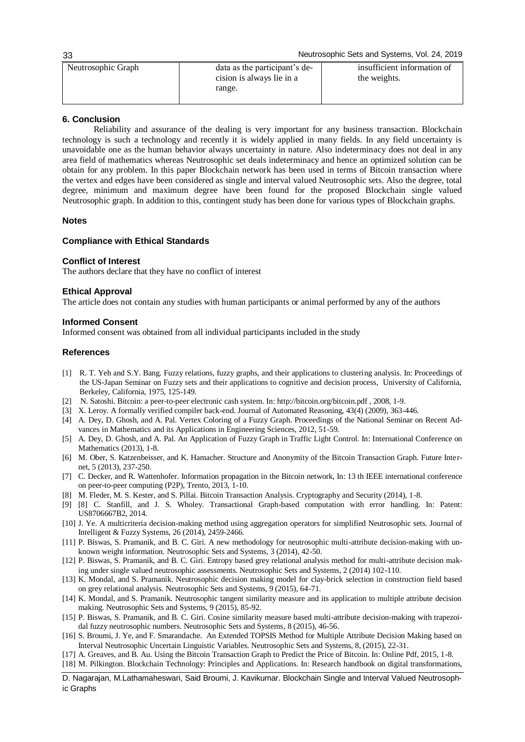Neutrosophic Sets and Systems, Vol. 24, 2019

| Neutrosophic Graph | data as the participant's de-<br>cision is always lie in a<br>range. | insufficient information of<br>the weights. |
|--------------------|----------------------------------------------------------------------|---------------------------------------------|
|                    |                                                                      |                                             |

# **6. Conclusion**

Reliability and assurance of the dealing is very important for any business transaction. Blockchain technology is such a technology and recently it is widely applied in many fields. In any field uncertainty is unavoidable one as the human behavior always uncertainty in nature. Also indeterminacy does not deal in any area field of mathematics whereas Neutrosophic set deals indeterminacy and hence an optimized solution can be obtain for any problem. In this paper Blockchain network has been used in terms of Bitcoin transaction where the vertex and edges have been considered as single and interval valued Neutrosophic sets. Also the degree, total degree, minimum and maximum degree have been found for the proposed Blockchain single valued Neutrosophic graph. In addition to this, contingent study has been done for various types of Blockchain graphs.

### **Notes**

### **Compliance with Ethical Standards**

#### **Conflict of Interest**

The authors declare that they have no conflict of interest

### **Ethical Approval**

The article does not contain any studies with human participants or animal performed by any of the authors

#### **Informed Consent**

Informed consent was obtained from all individual participants included in the study

#### **References**

- [1] R. T. Yeh and S.Y. Bang. Fuzzy relations, fuzzy graphs, and their applications to clustering analysis. In: Proceedings of the US-Japan Seminar on Fuzzy sets and their applications to cognitive and decision process, University of California, Berkeley, California, 1975, 125-149.
- [2] N. Satoshi. Bitcoin: a peer-to-peer electronic cash system. In[: http://bitcoin.org/bitcoin.pdf , 2008, 1-9.](http://bitcoin.org/bitcoin.pdf%20,%202008,%201-9)
- [3] X. Leroy. A formally verified compiler back-end. Journal of Automated Reasoning, 43(4) (2009), 363-446.
- [4] A. Dey, D. Ghosh, and A. Pal. Vertex Coloring of a Fuzzy Graph. Proceedings of the National Seminar on Recent Advances in Mathematics and its Applications in Engineering Sciences, 2012, 51-59.
- [5] A. Dey, D. Ghosh, and A. Pal. An Application of Fuzzy Graph in Traffic Light Control. In: International Conference on Mathematics (2013), 1-8.
- [6] M. Ober, S. Katzenbeisser, and K. Hamacher. Structure and Anonymity of the Bitcoin Transaction Graph. Future Internet, 5 (2013), 237-250.
- [7] C. Decker, and R. Wattenhofer. Information propagation in the Bitcoin network, In: 13 th IEEE international conference on peer-to-peer computing (P2P), Trento, 2013, 1-10.
- [8] M. Fleder, M. S. Kester, and S. Pillai. Bitcoin Transaction Analysis. Cryptography and Security (2014), 1-8.
- [9] [8] C. Stanfill, and J. S. Wholey. Transactional Graph-based computation with error handling. In: Patent: US8706667B2, 2014.
- [10] J. Ye. A multicriteria decision-making method using aggregation operators for simplified Neutrosophic sets. Journal of Intelligent & Fuzzy Systems, 26 (2014), 2459-2466.
- [11] P. Biswas, S. Pramanik, and B. C. Giri. A new methodology for neutrosophic multi-attribute decision-making with unknown weight information. Neutrosophic Sets and Systems, 3 (2014), 42-50.
- [12] P. Biswas, S. Pramanik, and B. C. Giri. Entropy based grey relational analysis method for multi-attribute decision making under single valued neutrosophic assessments. Neutrosophic Sets and Systems, 2 (2014) 102-110.
- [13] K. Mondal, and S. Pramanik. Neutrosophic decision making model for clay-brick selection in construction field based on grey relational analysis. Neutrosophic Sets and Systems, 9 (2015), 64-71.
- [14] K. Mondal, and S. Pramanik. Neutrosophic tangent similarity measure and its application to multiple attribute decision making. Neutrosophic Sets and Systems, 9 (2015), 85-92.
- [15] P. Biswas, S. Pramanik, and B. C. Giri. Cosine similarity measure based multi-attribute decision-making with trapezoidal fuzzy neutrosophic numbers. Neutrosophic Sets and Systems, 8 (2015), 46-56.
- [16] [S. Broumi, J. Ye, and F. Smarandache. An Extended TOPSIS Method for Multiple Attribute Decision Making based on](http://fs.unm.edu/NSS/AnExtendedTOPSISMethodForMultiple.pdf)  [Interval Neutrosophic Uncertain Linguistic Variables. Neutrosophic Sets and Systems, 8, \(2015\), 22-31.](http://fs.unm.edu/NSS/AnExtendedTOPSISMethodForMultiple.pdf)
- [17] A. Greaves, and B. Au. Using the Bitcoin Transaction Graph to Predict the Price of Bitcoin. In: Online Pdf, 2015, 1-8.
- [18] M. Pilkington. Blockchain Technology: Principles and Applications. In: Research handbook on digital transformations,
- D. Nagarajan, M.Lathamaheswari, Said Broumi, J. Kavikumar. Blockchain Single and Interval Valued Neutrosophic Graphs

33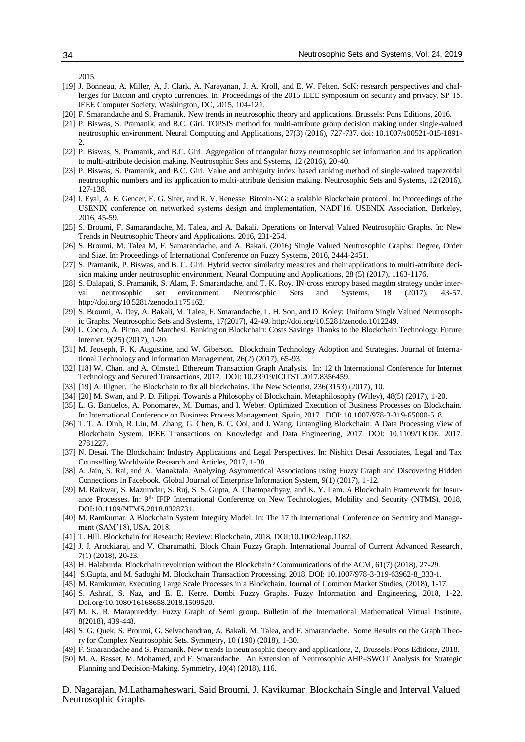2015.

- [19] J. Bonneau, A. Miller, A, J. Clark, A. Narayanan, J. A. Kroll, and E. W. Felten. SoK: research perspectives and challenges for Bitcoin and crypto currencies. In: Proceedings of the 2015 IEEE symposium on security and privacy, SP'15. IEEE Computer Society, Washington, DC, 2015, 104-121.
- [20] F. Smarandache and S. Pramanik. New trends in neutrosophic theory and applications. Brussels: Pons Editions, 2016.
- [21] P. Biswas, S. Pramanik, and B.C. Giri. TOPSIS method for multi-attribute group decision making under single-valued neutrosophic environment. Neural Computing and Applications, 27(3) (2016), 727-737. doi: 10.1007/s00521-015-1891- 2.
- [22] P. Biswas, S. Pramanik, and B.C. Giri. Aggregation of triangular fuzzy neutrosophic set information and its application to multi-attribute decision making. Neutrosophic Sets and Systems, 12 (2016), 20-40.
- [23] P. Biswas, S. Pramanik, and B.C. Giri. Value and ambiguity index based ranking method of single-valued trapezoidal neutrosophic numbers and its application to multi-attribute decision making. Neutrosophic Sets and Systems, 12 (2016), 127-138.
- [24] I. Eyal, A. E. Gencer, E. G. Sirer, and R. V. Renesse. Bitcoin-NG: a scalable Blockchain protocol. In: Proceedings of the USENIX conference on networked systems design and implementation, NADI'16. USENIX Association, Berkeley, 2016, 45-59.
- [25] S. Broumi, F. Samarandache, M. Talea, and A. Bakali. Operations on Interval Valued Neutrosophic Graphs. In: New Trends in Neutrosophic Theory and Applications. 2016, 231-254.
- [26] S. Broumi, M. Talea M, F. Samarandache, and A. Bakali. (2016) Single Valued Neutrosophic Graphs: Degree, Order and Size. In: Proceedings of International Conference on Fuzzy Systems, 2016, 2444-2451.
- [27] S. Pramanik, P. Biswas, and B. C. Giri. Hybrid vector similarity measures and their applications to multi-attribute decision making under neutrosophic environment. Neural Computing and Applications, 28 (5) (2017), 1163-1176.
- [28] S. Dalapati, S. Pramanik, S. Alam, F. Smarandache, and T. K. Roy. IN-cross entropy based magdm strategy under interval neutrosophic set environment. Neutrosophic Sets and Systems, 18 (2017), 43-57. [http://doi.org/10.5281/zenodo.1175162.](http://doi.org/10.5281/zenodo.1175162)
- [29] S. Broumi, A. Dey, A. Bakali, M. Talea, F. Smarandache, L. H. Son, and D. Koley[: Uniform Single Valued Neutrosoph](http://fs.unm.edu/NSS/UniformSingleValuedNeutrosophicGraphs.pdf)[ic Graphs.](http://fs.unm.edu/NSS/UniformSingleValuedNeutrosophicGraphs.pdf) Neutrosophic Sets and Systems, 17(2017), 42-49. [http://doi.org/10.5281/zenodo.1012249.](http://doi.org/10.5281/zenodo.1012249)
- [30] L. Cocco, A. Pinna, and Marchesi. Banking on Blockchain: Costs Savings Thanks to the Blockchain Technology. Future Internet, 9(25) (2017), 1-20.
- [31] M. Jeoseph, F. K. Augustine, and W. Giberson. Blockchain Technology Adoption and Strategies. Journal of International Technology and Information Management, 26(2) (2017), 65-93.
- [32] [18] W. Chan, and A. Olmsted. Ethereum Transaction Graph Analysis. In: 12 th International Conference for Internet Technology and Secured Transactions, 2017. DOI: 10.23919/ICITST.2017.8356459.
- [33] [19] A. Illgner. The Blockchain to fix all blockchains. The New Scientist, 236(3153) (2017), 10.
- [34] [20] M. Swan, and P. D. Filippi. Towards a Philosophy of Blockchain. Metaphilosophy (Wiley), 48(5) (2017), 1-20.
- [35] L. G. Banuelos, A. Ponomarev, M. Dumas, and I. Weber. Optimized Execution of Business Processes on Blockchain. In: International Conference on Business Process Management, Spain, 2017. DOI: 10.1007/978-3-319-65000-5\_8.
- [36] T. T. A. Dinh, R. Liu, M. Zhang, G. Chen, B. C. Ooi, and J. Wang. Untangling Blockchain: A Data Processing View of Blockchain System. IEEE Transactions on Knowledge and Data Engineering, 2017. DOI: 10.1109/TKDE. 2017. 2781227.
- [37] N. Desai. The Blockchain: Industry Applications and Legal Perspectives. In: Nishith Desai Associates, Legal and Tax Counselling Worldwide Research and Articles, 2017, 1-30.
- [38] A. Jain, S. Rai, and A. Manaktala. Analyzing Asymmetrical Associations using Fuzzy Graph and Discovering Hidden Connections in Facebook. Global Journal of Enterprise Information System, 9(1) (2017), 1-12.
- [39] M. Raikwar, S. Mazumdar, S. Ruj, S. S. Gupta, A. Chattopadhyay, and K. Y. Lam. A Blockchain Framework for Insurance Processes. In: 9th IFIP International Conference on New Technologies, Mobility and Security (NTMS), 2018, DOI:10.1109/NTMS.2018.8328731.
- [40] M. Ramkumar. A Blockchain System Integrity Model. In: The 17 th International Conference on Security and Management (SAM'18), USA, 2018.
- [41] T. Hill. Blockchain for Research: Review: Blockchain, 2018, DOI:10.1002/leap.1182.
- [42] J. J. Arockiaraj, and V. Charumathi. Block Chain Fuzzy Graph. International Journal of Current Advanced Research, 7(1) (2018), 20-23.
- [43] H. Halaburda. Blockchain revolution without the Blockchain? Communications of the ACM, 61(7) (2018), 27-29.
- [44] S.Gupta, and M. Sadoghi M. Blockchain Transaction Processing. 2018, DOI: 10.1007/978-3-319-63962-8\_333-1.
- [45] M. Ramkumar. Executing Large Scale Processes in a Blockchain. Journal of Common Market Studies, (2018), 1-17.
- [46] S. Ashraf, S. Naz, and E. E. Kerre. Dombi Fuzzy Graphs. Fuzzy Information and Engineering, 2018, 1-22. Doi.org/10.1080/16168658.2018.1509520.
- [47] M. K. R. Marapureddy. Fuzzy Graph of Semi group. Bulletin of the International Mathematical Virtual Institute, 8(2018), 439-448.
- [48] S. G. Quek, S. Broumi, G. Selvachandran, A. Bakali, M. Talea, and F. Smarandache. Some Results on the Graph Theory for Complex Neutrosophic Sets. Symmetry, 10 (190) (2018), 1-30.
- [49] F. Smarandache and S. Pramanik. New trends in neutrosophic theory and applications, 2, Brussels: Pons Editions, 2018.
- [50] M. A. Basset, M. Mohamed, and F. Smarandache. An Extension of Neutrosophic AHP–SWOT Analysis for Strategic Planning and Decision-Making. Symmetry, 10(4) (2018), 116.